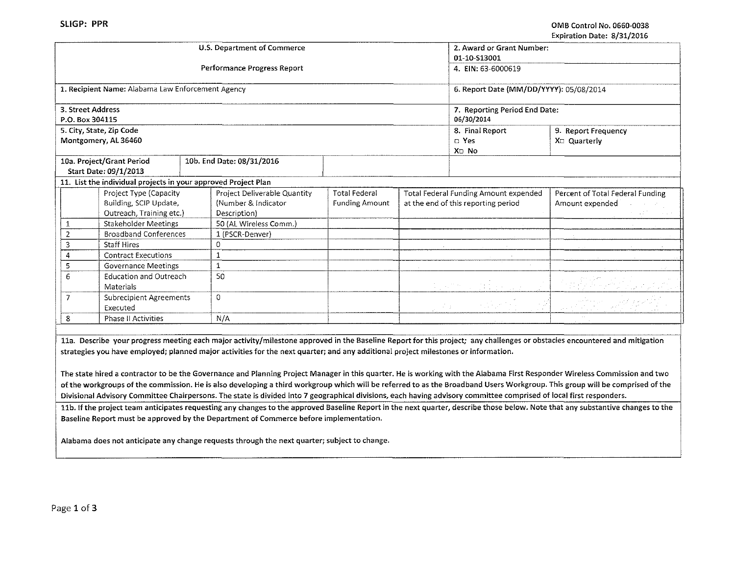'

I

|                                                                | U.S. Department of Commerce  |                       |          | 2. Award or Grant Number:                          |                                  |
|----------------------------------------------------------------|------------------------------|-----------------------|----------|----------------------------------------------------|----------------------------------|
|                                                                |                              |                       |          | 01-10-S13001                                       |                                  |
|                                                                | Performance Progress Report  |                       |          | 4. EIN: 63-6000619                                 |                                  |
|                                                                |                              |                       |          |                                                    |                                  |
|                                                                |                              |                       |          |                                                    |                                  |
| 1. Recipient Name: Alabama Law Enforcement Agency              |                              |                       |          | 6. Report Date (MM/DD/YYYY): 05/08/2014            |                                  |
| 3. Street Address                                              |                              |                       |          |                                                    |                                  |
| P.O. Box 304115                                                |                              |                       |          | 7. Reporting Period End Date:<br>06/30/2014        |                                  |
|                                                                |                              |                       |          |                                                    |                                  |
| 5. City, State, Zip Code                                       |                              |                       |          | 8. Final Report                                    | 9. Report Frequency              |
| Montgomery, AL 36460                                           |                              |                       |          | $\Box$ Yes                                         | X <sub>D</sub> Quarterly         |
|                                                                |                              |                       |          | X <sub>D</sub> No                                  |                                  |
| 10a. Project/Grant Period                                      | 10b. End Date: 08/31/2016    |                       |          |                                                    |                                  |
| Start Date: 09/1/2013                                          |                              |                       |          |                                                    |                                  |
| 11. List the individual projects in your approved Project Plan |                              |                       |          |                                                    |                                  |
| Project Type (Capacity                                         | Project Deliverable Quantity | <b>Total Federal</b>  |          | Total Federal Funding Amount expended              | Percent of Total Federal Funding |
| Building, SCIP Update,                                         | (Number & Indicator          | <b>Funding Amount</b> |          | at the end of this reporting period                | Amount expended                  |
| Outreach, Training etc.)                                       | Description)                 |                       |          |                                                    |                                  |
| Stakeholder Meetings<br>1                                      | 50 (AL Wireless Comm.)       |                       |          |                                                    |                                  |
| 2<br><b>Broadband Conferences</b>                              | 1 (PSCR-Denver)              |                       |          |                                                    |                                  |
| 3<br><b>Staff Hires</b>                                        | 0                            |                       |          |                                                    |                                  |
| <b>Contract Executions</b><br>4                                |                              |                       |          |                                                    |                                  |
| 5<br><b>Governance Meetings</b>                                | $\mathbf{1}$                 |                       |          |                                                    | A.M.                             |
| Education and Outreach<br>6                                    | 50                           |                       |          |                                                    |                                  |
| Materials                                                      |                              |                       |          | $\mathbb{Z}_{\geq 0}$ on the $\mathbb{Z}_{\geq 0}$ |                                  |
| 7<br><b>Subrecipient Agreements</b>                            | $\Omega$                     |                       |          |                                                    |                                  |
| Executed                                                       |                              |                       | is in gr |                                                    |                                  |
| <b>Phase II Activities</b><br>8                                | N/A                          |                       |          |                                                    |                                  |
|                                                                |                              |                       |          |                                                    |                                  |

lla. Describe your progress meeting each major activity/milestone approved in the Baseline Report for this project; any challenges or obstacles encountered and mitigation strategies you have employed; planned major activities for the next quarter; and any additional project milestones or information.

The state hired a contractor to be the Governance and Planning Project Manager in this quarter. He is working with the Alabama First Responder Wireless Commission and two of the workgroups of the commission. He is also developing a third workgroup which will be referred to as the Broadband Users Workgroup. This group will be comprised of the Divisional Advisory Committee Chairpersons. The state is divided into 7 geographical divisions, each having advisory committee comprised of local first responders.

11b. If the project team anticipates requesting any changes to the approved Baseline Report in the next quarter, describe those below. Note that any substantive changes to the Baseline Report must be approved by the Department of Commerce before implementation.

Alabama does not anticipate any change requests through the next quarter; subject to change.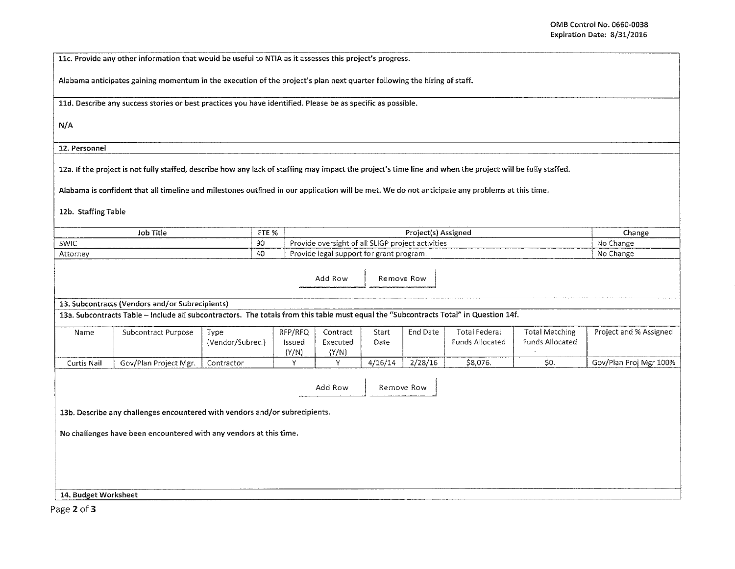I !

llc. Provide any other information that would be useful to NTIA as it assesses this project's progress.

Alabama anticipates gaining momentum in the execution of the project's plan next quarter following the hiring of staff.

lld. Describe any success stories or best practices you have identified. Please be as specific as possible.

N/A

12. Personnel

12a. If the project is not fully staffed, describe how any lack of staffing may impact the project's time line and when the project will be fully staffed.

Alabama is confident that all timeline and milestones outlined in our application will be met. We do not anticipate any problems at this time.

12b. Staffing Table

| ---------------------<br>$-$<br>Title<br>Job                                                                                     | <b>FTE O/</b><br><u>. n</u> | tened<br>,,,,,,,,<br>_____<br>_____                                 | Change<br>.  |
|----------------------------------------------------------------------------------------------------------------------------------|-----------------------------|---------------------------------------------------------------------|--------------|
| SWIC                                                                                                                             | $\alpha$<br>っこ              | activities<br>ے ہیں۔                                                | Νo<br>.hange |
| Attorney<br>.<br>the contract of the contract of the contract of the contract of the contract of the contract of the contract of | ີ+ບ                         | ∙ Dr<br>-eram.<br>IDDO.<br>.<br>___________________________________ | - No Change  |

Add Row **I** Remove Row

13. Subcontracts {Vendors and/or Subrecipients)

13a. Subcontracts Table -Include all subcontractors. The totals from this table must equal the "Subcontracts Total" in Question 14f.

| Name        | Subcontract Purpose   | Tvpe             | RFP/RFQ | Contract | Start   | End Date | <b>Total Federal</b> | Total Matching  | Project and % Assigned |
|-------------|-----------------------|------------------|---------|----------|---------|----------|----------------------|-----------------|------------------------|
|             |                       | (Vendor/Subrec.) | lssued  | Executed | Date    |          | Funds Allocated      | Funds Allocated |                        |
|             |                       |                  | (Y/N)   | (Y/N)    |         |          |                      |                 |                        |
| Curtis Nail | Gov/Plan Project Mgr. | Contractor       |         |          | 4/16/14 | 2/28/16  | \$8.076              | ◡               | Gov/Plan Proi Mgr 100% |

Add Row | Remove Row

13b. Describe any challenges encountered with vendors and/or subrecipients.

No challenges have been encountered with any vendors at this time.

14. Budget Worksheet

Page 2 of 3

i<br>I<br>I<br>I<br>I<br>I